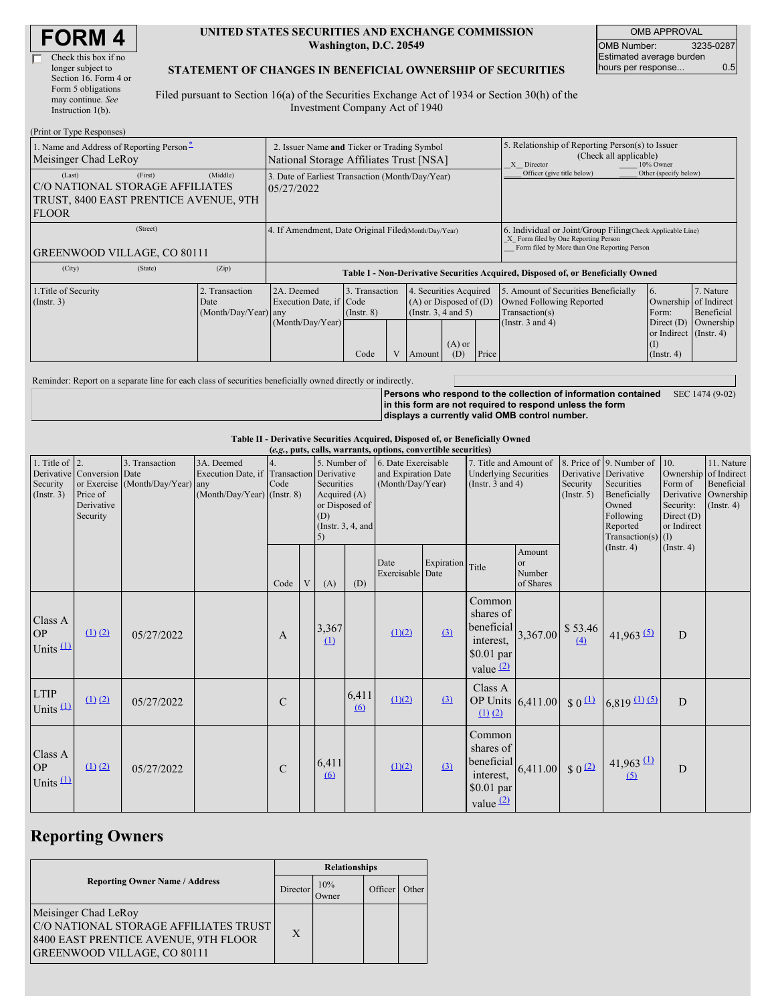| <b>FORM4</b> |
|--------------|
|--------------|

| Check this box if no  |
|-----------------------|
| longer subject to     |
| Section 16. Form 4 or |
| Form 5 obligations    |
| may continue. See     |
| Instruction 1(b).     |
|                       |

#### **UNITED STATES SECURITIES AND EXCHANGE COMMISSION Washington, D.C. 20549**

OMB APPROVAL OMB Number: 3235-0287 Estimated average burden hours per response... 0.5

#### **STATEMENT OF CHANGES IN BENEFICIAL OWNERSHIP OF SECURITIES**

Filed pursuant to Section 16(a) of the Securities Exchange Act of 1934 or Section 30(h) of the Investment Company Act of 1940

| (Print or Type Responses)                                                                          |                                                                                                                                                                                                              |       |                                                                                  |      |                                                                                                                 |                                                  |                                                                                                                                                    |                       |                       |                                                                   |           |  |  |
|----------------------------------------------------------------------------------------------------|--------------------------------------------------------------------------------------------------------------------------------------------------------------------------------------------------------------|-------|----------------------------------------------------------------------------------|------|-----------------------------------------------------------------------------------------------------------------|--------------------------------------------------|----------------------------------------------------------------------------------------------------------------------------------------------------|-----------------------|-----------------------|-------------------------------------------------------------------|-----------|--|--|
| 1. Name and Address of Reporting Person-<br>Meisinger Chad LeRoy                                   | 2. Issuer Name and Ticker or Trading Symbol<br>National Storage Affiliates Trust [NSA]                                                                                                                       |       |                                                                                  |      |                                                                                                                 |                                                  | 5. Relationship of Reporting Person(s) to Issuer<br>(Check all applicable)<br>10% Owner<br>X Director                                              |                       |                       |                                                                   |           |  |  |
| (Last)<br>C/O NATIONAL STORAGE AFFILIATES<br>TRUST, 8400 EAST PRENTICE AVENUE, 9TH<br><b>FLOOR</b> | 3. Date of Earliest Transaction (Month/Day/Year)<br>05/27/2022                                                                                                                                               |       |                                                                                  |      |                                                                                                                 |                                                  | Officer (give title below)                                                                                                                         | Other (specify below) |                       |                                                                   |           |  |  |
| <b>GREENWOOD VILLAGE, CO 80111</b>                                                                 | 4. If Amendment, Date Original Filed Month/Day/Year)                                                                                                                                                         |       |                                                                                  |      |                                                                                                                 |                                                  | 6. Individual or Joint/Group Filing(Check Applicable Line)<br>X Form filed by One Reporting Person<br>Form filed by More than One Reporting Person |                       |                       |                                                                   |           |  |  |
| (City)                                                                                             | (State)                                                                                                                                                                                                      | (Zip) | Table I - Non-Derivative Securities Acquired, Disposed of, or Beneficially Owned |      |                                                                                                                 |                                                  |                                                                                                                                                    |                       |                       |                                                                   |           |  |  |
| 1. Title of Security<br>$($ Instr. 3 $)$                                                           | 2. Transaction<br>2A. Deemed<br>3. Transaction<br>4. Securities Acquired<br>$(A)$ or Disposed of $(D)$<br>Execution Date, if Code<br>Date<br>(Insert. 3, 4 and 5)<br>(Month/Day/Year) any<br>$($ Instr. $8)$ |       |                                                                                  |      | 5. Amount of Securities Beneficially<br>$\overline{6}$ .<br>Owned Following Reported<br>Transaction(s)<br>Form: | 7. Nature<br>Ownership of Indirect<br>Beneficial |                                                                                                                                                    |                       |                       |                                                                   |           |  |  |
|                                                                                                    |                                                                                                                                                                                                              |       | (Month/Day/Year)                                                                 | Code |                                                                                                                 | Amount                                           | $(A)$ or<br>(D)                                                                                                                                    | Price                 | (Instr. $3$ and $4$ ) | Direct $(D)$<br>or Indirect (Instr. 4)<br>(I)<br>$($ Instr. 4 $)$ | Ownership |  |  |

Reminder: Report on a separate line for each class of securities beneficially owned directly or indirectly.

**Persons who respond to the collection of information contained** SEC 1474 (9-02) **in this form are not required to respond unless the form displays a currently valid OMB control number.**

**Table II - Derivative Securities Acquired, Disposed of, or Beneficially Owned**

| (e.g., puts, calls, warrants, options, convertible securities) |                                                                  |                                                    |                                                                                          |               |   |                                                         |                                        |                                                                                                                                                   |                  |                                                                              |                                     |                                                                                                                                                          |                                                                                                                    |                                                                                    |  |
|----------------------------------------------------------------|------------------------------------------------------------------|----------------------------------------------------|------------------------------------------------------------------------------------------|---------------|---|---------------------------------------------------------|----------------------------------------|---------------------------------------------------------------------------------------------------------------------------------------------------|------------------|------------------------------------------------------------------------------|-------------------------------------|----------------------------------------------------------------------------------------------------------------------------------------------------------|--------------------------------------------------------------------------------------------------------------------|------------------------------------------------------------------------------------|--|
| 1. Title of $\vert$ 2.<br>Security<br>(Insert. 3)              | Derivative Conversion Date<br>Price of<br>Derivative<br>Security | 3. Transaction<br>or Exercise (Month/Day/Year) any | 3A. Deemed<br>Execution Date, if Transaction Derivative<br>$(Month/Day/Year)$ (Instr. 8) | Code          |   | 5. Number of<br>Securities<br>Acquired (A)<br>(D)<br>5) | or Disposed of<br>(Instr. $3, 4$ , and | 6. Date Exercisable<br>7. Title and Amount of<br>and Expiration Date<br><b>Underlying Securities</b><br>(Month/Day/Year)<br>(Instr. $3$ and $4$ ) |                  |                                                                              | Security<br>(Insert. 5)             | 8. Price of 9. Number of<br>Derivative Derivative<br>Securities<br>Beneficially<br>Owned<br>Following<br>or Indirect<br>Reported<br>Transaction(s) $(I)$ |                                                                                                                    | 11. Nature<br>Ownership of Indirect<br>Beneficial<br>Ownership<br>$($ Instr. 4 $)$ |  |
|                                                                |                                                                  |                                                    |                                                                                          | Code          | V | (A)                                                     | (D)                                    | Date<br>Exercisable Date                                                                                                                          | Expiration       | Title                                                                        | Amount<br>or<br>Number<br>of Shares |                                                                                                                                                          | $($ Instr. 4 $)$                                                                                                   | $($ Instr. 4 $)$                                                                   |  |
| Class A<br><b>OP</b><br>Units $(1)$                            | (1) (2)                                                          | 05/27/2022                                         |                                                                                          | $\mathbf{A}$  |   | 3,367<br>$\Omega$                                       |                                        | (1)(2)                                                                                                                                            | (3)              | Common<br>shares of<br>beneficial<br>interest,<br>$$0.01$ par<br>value $(2)$ | 3,367.00                            | \$53.46<br>(4)                                                                                                                                           | $41,963$ (5)                                                                                                       | D                                                                                  |  |
| <b>LTIP</b><br>Units $(1)$                                     | $(1)$ $(2)$                                                      | 05/27/2022                                         |                                                                                          | $\mathbf C$   |   |                                                         | 6,411<br>$\omega$                      | (1)(2)                                                                                                                                            | $\left(3\right)$ | Class A<br>OP Units 6,411.00<br>$(1)$ $(2)$                                  |                                     | $\sqrt{0}$                                                                                                                                               | $6,819$ (1) (5)                                                                                                    | D                                                                                  |  |
| Class A<br><b>OP</b><br>Units $(1)$                            | $(1)$ $(2)$                                                      | 05/27/2022                                         |                                                                                          | $\mathcal{C}$ |   | 6,411<br>6                                              |                                        | (1)(2)                                                                                                                                            | (3)              | Common<br>shares of<br>beneficial<br>interest,<br>$$0.01$ par<br>value $(2)$ | 6,411.00                            | $$0^{\frac{2}{2}}$$                                                                                                                                      | $41,963 \text{ }^{\text{}}\text{ }^{\text{}}\text{ }^{\text{}}\text{ }^{\text{}}\text{ }^{\text{}}\text{ }$<br>(5) | D                                                                                  |  |

# **Reporting Owners**

|                                                                                                                                             | <b>Relationships</b> |              |         |       |  |  |  |
|---------------------------------------------------------------------------------------------------------------------------------------------|----------------------|--------------|---------|-------|--|--|--|
| <b>Reporting Owner Name / Address</b>                                                                                                       | Director             | 10%<br>Owner | Officer | Other |  |  |  |
| Meisinger Chad LeRoy<br>C/O NATIONAL STORAGE AFFILIATES TRUST<br>8400 EAST PRENTICE AVENUE, 9TH FLOOR<br><b>GREENWOOD VILLAGE, CO 80111</b> | X                    |              |         |       |  |  |  |